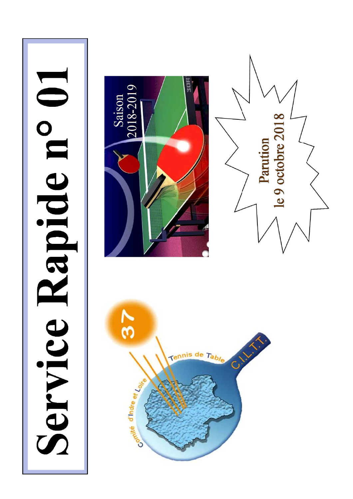# Service Rapide n° 01





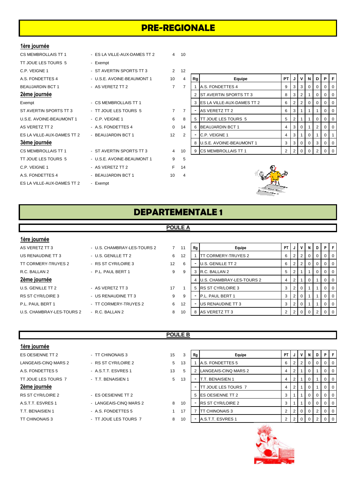# **PRE-REGIONALE**

### **1ère journée**

| CS MEMBROLLAIS TT 1        | - ES LA VILLE-AUX-DAMES TT 2 | 4              | 10             |
|----------------------------|------------------------------|----------------|----------------|
| TT JOUE LES TOURS 5        | - Exempt                     |                |                |
| C.P. VEIGNE 1              | - ST AVERTIN SPORTS TT 3     | 2              | 12             |
| A.S. FONDETTES 4           | - U.S.E. AVOINE-BEAUMONT 1   | 10             | $\overline{4}$ |
| <b>BEAUJARDIN BCT 1</b>    | - AS VERETZ TT 2             | $\overline{7}$ | $\overline{7}$ |
| 2ème journée               |                              |                |                |
| Exempt                     | - CS MEMBROLLAIS TT 1        |                |                |
| ST AVERTIN SPORTS TT 3     | - TT JOUE LES TOURS 5        | $\overline{7}$ | 7              |
| U.S.E. AVOINE-BEAUMONT 1   | $-$ C.P. VEIGNE 1            | 6              | 8              |
| AS VERETZ TT 2             | - A.S. FONDETTES 4           | $\Omega$       | 14             |
| ES LA VILLE-AUX-DAMES TT 2 | - BEAUJARDIN BCT 1           | 12             | $\overline{2}$ |
| 3ème journée               |                              |                |                |
| CS MEMBROLLAIS TT 1        | - ST AVERTIN SPORTS TT 3     | 4              | 10             |
| TT JOUE LES TOURS 5        | - U.S.E. AVOINE-BEAUMONT 1   | 9              | 5              |
| C.P. VEIGNE 1              | - AS VERETZ TT 2             | F              | 14             |
| A.S. FONDETTES 4           | - BEAUJARDIN BCT 1           | 10             | $\overline{4}$ |
| ES LA VILLE-AUX-DAMES TT 2 | - Exempt                     |                |                |

| C.P. VEIGNE 1              | - ST AVERTIN SPORTS TT 3   | 2              | 12 |    |                               |                |       |              |          |          |    |  |
|----------------------------|----------------------------|----------------|----|----|-------------------------------|----------------|-------|--------------|----------|----------|----|--|
| A.S. FONDETTES 4           | - U.S.E. AVOINE-BEAUMONT 1 | 10             | 4  | Rg | Equipe                        |                | PTIJI | $\mathsf{v}$ | N        | D I      | PF |  |
| <b>BEAUJARDIN BCT 1</b>    | - AS VERETZ TT 2           | $\overline{7}$ |    |    | A.S. FONDETTES 4              | 9              | ు     | 3            |          |          |    |  |
| 2ème journée               |                            |                |    |    | 2 IST AVERTIN SPORTS TT 3     | 8              | 3     |              |          |          |    |  |
| Exempt                     | - CS MEMBROLLAIS TT 1      |                |    |    | 3 ES LA VILLE-AUX-DAMES TT 2  | 6              |       |              |          |          |    |  |
| ST AVERTIN SPORTS TT 3     | - TT JOUE LES TOURS 5      | $\overline{7}$ |    |    | AS VERETZ TT 2                | 6              |       |              |          |          |    |  |
| U.S.E. AVOINE-BEAUMONT 1   | - C.P. VEIGNE 1            | 6              | 8  |    | 5 <b>ITT JOUE LES TOURS 5</b> | 5              |       |              |          | $\Omega$ |    |  |
| AS VERETZ TT 2             | - A.S. FONDETTES 4         | $\Omega$       | 14 |    | 6 BEAUJARDIN BCT 1            | 4              | 3     | 0            |          |          |    |  |
| ES LA VILLE-AUX-DAMES TT 2 | - BEAUJARDIN BCT 1         | 12             | 2  |    | C.P. VEIGNE 1                 | 4              | -3    |              | 0        |          |    |  |
| 3ème journée               |                            |                |    |    | 8 U.S.E. AVOINE-BEAUMONT 1    | 3              | -3    | 0            | 0        | 3 I      |    |  |
| CS MEMBROLLAIS TT 1        | - ST AVERTIN SPORTS TT 3   | $\overline{4}$ | 10 | 9  | <b>CS MEMBROLLAIS TT 1</b>    | $\overline{2}$ |       | $\Omega$     | $\Omega$ |          |    |  |



# **DEPARTEMENTALE 1**

# **POULE A**

#### **1ère journée**

- 
- 
- 
- 
- 
- 
- U.S. CHAMBRAY-LES-TOURS 2 R.C. BALLAN 2 8 1
- US RENAUDINE TT 3 **DEALL ASSESSED ASSESSED ASSESSED ASSESSED ASSESSED ASSESSED ASSESS** TT CORMERY-TRUYES 2 - RS ST CYR/LOIRE 3 12 R.C. BALLAN 2 - P.L. PAUL BERT 1 9 U.S. GENILLE TT 2 - AS VERETZ TT 3 17 RS ST CYR/LOIRE 3 - US RENAUDINE TT 3 9 P.L. PAUL BERT 1 - TT CORMERY-TRUYES 2 6 1

| <u>iviv juuliivu</u>      |                             |                |    |    |                             |           |                |   |   |     |                |
|---------------------------|-----------------------------|----------------|----|----|-----------------------------|-----------|----------------|---|---|-----|----------------|
| AS VERETZ TT 3            | - U.S. CHAMBRAY-LES-TOURS 2 | $\overline{7}$ | 11 | Rg | Equipe                      | <b>PT</b> | V              | N | D | PIF |                |
| US RENAUDINE TT 3         | - U.S. GENILLE TT 2         | 6              | 12 |    | <b>ITT CORMERY-TRUYES 2</b> | 6         | 2              | 0 | 0 |     | $\overline{1}$ |
| TT CORMERY-TRUYES 2       | - RS ST CYR/LOIRE 3         | 12             | 6  |    | <b>U.S. GENILLE TT 2</b>    | 6         | 2              |   | 0 |     | $\overline{0}$ |
| R.C. BALLAN 2             | - P.L. PAUL BERT 1          | 9              | 9  |    | 3 R.C. BALLAN 2             | 5         |                |   |   |     | $\overline{0}$ |
| 2ème journée              |                             |                |    |    | 4 U.S. CHAMBRAY-LES-TOURS 2 | 4         |                |   |   |     | $\overline{0}$ |
| U.S. GENILLE TT 2         | - AS VERETZ TT 3            | 17             |    |    | 5 RS ST CYR/LOIRE 3         | 3         | $\mathbf 0$    |   |   |     | $\overline{0}$ |
| RS ST CYR/LOIRE 3         | - US RENAUDINE TT 3         | 9              | 9  |    | P.L. PAUL BERT 1            | 3         | $\overline{0}$ |   |   |     | ⁄IO⊺           |
| P.L. PAUL BERT 1          | - TT CORMERY-TRUYES 2       | 6              | 12 |    | US RENAUDINE TT 3           | 3         | $\overline{0}$ |   |   |     | $\overline{1}$ |
| U.S. CHAMBRAY-LES-TOURS 2 | - R.C. BALLAN 2             | 8              | 10 |    | 8 AS VERETZ TT 3            |           |                |   |   |     | $\overline{0}$ |
|                           |                             |                |    |    |                             |           |                |   |   |     |                |

# **POULE B**

- 
- 
- 

**1ère journée**

- 
- 
- 
- 



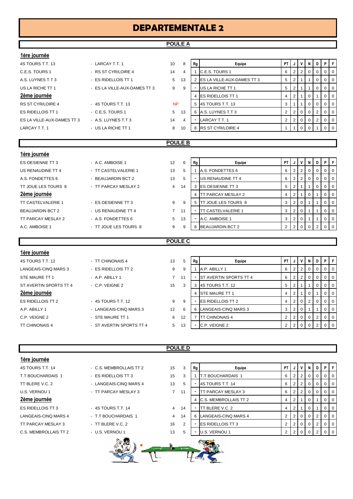# **DEPARTEMENTALE 2**

# **POULE A**

| 1ère journée               |                              |                |                |                |                                     |                |                |                |              |                |                |                |
|----------------------------|------------------------------|----------------|----------------|----------------|-------------------------------------|----------------|----------------|----------------|--------------|----------------|----------------|----------------|
| 4S TOURS T.T. 13           | - LARCAY T.T. 1              | 10             | 8              | Rg             | Equipe                              | PT             | J              | V              | N            | D              | P              | F.             |
| C.E.S. TOURS 1             | - RS ST CYR/LOIRE 4          | 14             | $\overline{4}$ | $\mathbf{1}$   | C.E.S. TOURS 1                      | 6              | $\overline{2}$ | $\overline{2}$ | 0            | $\mathbf 0$    | $\mathbf 0$    | $\overline{0}$ |
| A.S. LUYNES T.T 3          | - ES RIDELLOIS TT 1          | 5              | 13             |                | 2 <b>ES LA VILLE-AUX-DAMES TT 3</b> | 5              | $\overline{2}$ | $\mathbf{1}$   | 1            | 0              | $\mathbf 0$    | $\overline{0}$ |
| US LA RICHE TT 1           | - ES LA VILLE-AUX-DAMES TT 3 | 9              | 9              | $\blacksquare$ | US LA RICHE TT 1                    | 5              | $\overline{2}$ | 1              | 1            | $\Omega$       | 0              | $\mathbf 0$    |
| 2ème journée               |                              |                |                | 4              | <b>ES RIDELLOIS TT 1</b>            | 4              | $\overline{2}$ | $\mathbf{1}$   | $\mathbf 0$  |                | $\mathbf 0$    | $\mathbf 0$    |
| <b>RS ST CYR/LOIRE 4</b>   | - 4S TOURS T.T. 13           | <b>NP</b>      |                | 5              | 4S TOURS T.T. 13                    | 3              | -1             | 1              | 0            | 0              | 0              | $\mathbf 0$    |
| <b>ES RIDELLOIS TT 1</b>   | - C.E.S. TOURS 1             | 5              | 13             | 6              | A.S. LUYNES T.T 3                   | $\overline{2}$ | $\overline{2}$ | $\mathbf 0$    | $\mathbf 0$  | 2              | $\mathbf 0$    | $\overline{0}$ |
| ES LA VILLE-AUX-DAMES TT 3 | - A.S. LUYNES T.T 3          | 14             | $\overline{4}$ |                | LARCAY T.T. 1                       | 2              | $\overline{2}$ | 0              | 0            | 2              | 0              | $\overline{0}$ |
| LARCAY T.T. 1              | - US LA RICHE TT 1           | 8              | 10             |                | 8 RS ST CYR/LOIRE 4                 | $\mathbf{1}$   | $\mathbf 1$    | $\mathbf 0$    | $\mathbf 0$  |                | $\overline{0}$ | $\overline{0}$ |
|                            |                              |                |                |                |                                     |                |                |                |              |                |                |                |
|                            |                              |                | <b>POULE B</b> |                |                                     |                |                |                |              |                |                |                |
| 1ère journée               |                              |                |                |                |                                     |                |                |                |              |                |                |                |
| <b>ES OESIENNE TT 3</b>    | - A.C. AMBOISE 1             | 12             | 6              | Rg             | Equipe                              | PT             | J              | V              | N            | D              | P              | $\mathsf F$    |
| US RENAUDINE TT 4          | - TT CASTELVALERIE 1         | 13             | 5              | $\mathbf{1}$   | A.S. FONDETTES 6                    | 6              | $\overline{2}$ | $\overline{2}$ | 0            | 0              | 0              | $\overline{0}$ |
| A.S. FONDETTES 6           | - BEAUJARDIN BCT 2           | 13             | 5              | $\blacksquare$ | US RENAUDINE TT 4                   | 6              | $\overline{2}$ | $\overline{2}$ | 0            | 0              | $\mathbf 0$    | $\mathbf 0$    |
| TT JOUE LES TOURS 8        | - TT PARCAY MESLAY 2         | 4              | 14             |                | 3 ES OESIENNE TT 3                  | 5              | $\overline{2}$ | $\mathbf{1}$   | 1            | $\Omega$       | $\mathbf 0$    | $\overline{0}$ |
| 2ème journée               |                              |                |                | 4              | <b>TT PARCAY MESLAY 2</b>           | 4              | $\overline{2}$ | 1              | 0            |                | 0              | $\mathbf 0$    |
| TT CASTELVALERIE 1         | - ES OESIENNE TT 3           | 9              | 9              | 5              | <b>TT JOUE LES TOURS 8</b>          | 3              | $\overline{2}$ | 0              | 1            | 1              | 0              | $\mathbf 0$    |
| <b>BEAUJARDIN BCT 2</b>    | - US RENAUDINE TT 4          | $\overline{7}$ | 11             |                | <b>TT CASTELVALERIE 1</b>           | 3              | $\overline{2}$ | 0              | $\mathbf{1}$ | 1              | 0              | $\overline{0}$ |
| TT PARCAY MESLAY 2         | - A.S. FONDETTES 6           | 5              | 13             |                | A.C. AMBOISE 1                      | 3              | $\overline{2}$ | 0              | 1            |                | 0              | $\mathbf 0$    |
| A.C. AMBOISE 1             | - TT JOUE LES TOURS 8        | 9              | 9              |                | 8 BEAUJARDIN BCT 2                  | $\overline{2}$ | $\overline{2}$ | $\mathbf 0$    | 0            | $\overline{2}$ | 0              | $\overline{0}$ |
|                            |                              |                |                |                |                                     |                |                |                |              |                |                |                |
|                            |                              |                | <b>POULE C</b> |                |                                     |                |                |                |              |                |                |                |
| 1ère journée               |                              |                |                |                |                                     |                |                |                |              |                |                |                |
| 4S TOURS T.T. 12           | - TT CHINONAIS 4             | 13             | 5              | Rg             | Equipe                              |                |                | PT J J V       | ND           |                | $P$ $F$        |                |

| <del>TU I UUI IU III IL</del> |
|-------------------------------|
| LANGEAIS-CINQ MARS 3          |
| STF MAURE TT 1                |
| ST AVERTIN SPORTS TT 4        |
|                               |
| 2ème journée                  |
| <b>ES RIDELLOIS TT 2</b>      |
| A.P. ABILLY 1                 |
| C.P. VEIGNE 2                 |

| Tele Indities            |                          |                   |    |    |                               |                |               |                |                |                |              |                |
|--------------------------|--------------------------|-------------------|----|----|-------------------------------|----------------|---------------|----------------|----------------|----------------|--------------|----------------|
| 4S TOURS T.T. 12         | - TT CHINONAIS 4         | 13                | 5  | Rg | Equipe                        | PT I           | J             | V              |                | NDI            | $\mathsf{P}$ |                |
| LANGEAIS-CINQ MARS 3     | - ES RIDELLOIS TT 2      | 9                 | 9  |    | A.P. ABILLY 1                 | 6              | 2             | 2 <sup>1</sup> | $\overline{0}$ | $\overline{0}$ | $0$   $0$    |                |
| STE MAURE TT 1           | $-$ A.P. ABILLY 1        | $\overline{7}$    | 11 |    | <b>ST AVERTIN SPORTS TT 4</b> | 6              | $^{\circ}$ 2. | 2 <sup>1</sup> | $\overline{0}$ | 0              | $\mathbf 0$  | l O            |
| ST AVERTIN SPORTS TT 4   | $-$ C.P. VEIGNE 2        | 15                | 3  | 3  | 4S TOURS T.T. 12              | 5              | 2             |                |                | 0              | $0$   $0$    |                |
| 2ème journée             |                          |                   |    | 4  | <b>STE MAURE TT 1</b>         | 4              | 2             |                |                |                | $\mathbf 0$  | $\overline{0}$ |
| <b>ES RIDELLOIS TT 2</b> | - 4S TOURS T.T. 12       | 9                 | 9  |    | <b>ES RIDELLOIS TT 2</b>      | 4              | 2             | $\overline{0}$ | 2 <sub>1</sub> | $\mathbf{0}$   | $\mathbf 0$  | $\overline{0}$ |
| A.P. ABILLY 1            | - LANGEAIS-CINQ MARS 3   | $12 \overline{ }$ | 6  | 6  | LANGEAIS-CINQ MARS 3          | 3              | 2             | $\Omega$       |                |                | 0            | $\Omega$       |
| C.P. VEIGNE 2            | - STE MAURE TT 1         | 6                 | 12 |    | <b>TT CHINONAIS 4</b>         | 2              | 2             | $\overline{0}$ | $\overline{0}$ | 2 <sub>1</sub> | $\mathbf 0$  | <b>0</b>       |
| <b>TT CHINONAIS 4</b>    | - ST AVERTIN SPORTS TT 4 | 5                 | 13 |    | C.P. VEIGNE 2                 | $\overline{2}$ | 2             | $\Omega$       |                | റ              |              |                |

# **1ère journée**

| 4S TOURS T T 14           |
|---------------------------|
| T.T BOUCHARDAIS 1         |
| TT BLERE V.C. 2           |
| U.S. VERNOU 1             |
| 2ème journée              |
| <b>ES RIDELLOIS TT 3</b>  |
| LANGEAIS-CINO MARS 4      |
| <b>TT PARCAY MESLAY 3</b> |
| C.S. MEMBROLLAIS TT 2     |

|  |  | <b>POULE D</b> |  |
|--|--|----------------|--|
|  |  |                |  |
|  |  |                |  |

| 1ère journée          |                         |                |    |    |                              |                |                |                 |          |   |                |     |
|-----------------------|-------------------------|----------------|----|----|------------------------------|----------------|----------------|-----------------|----------|---|----------------|-----|
| 4S TOURS T.T. 14      | - C.S. MEMBROLLAIS TT 2 | 15             | 3  | Rg | Equipe                       | PT I           | J              |                 | N        | D | PIF            |     |
| T.T BOUCHARDAIS 1     | - ES RIDELLOIS TT 3     | 15             | 3  |    | <b>T.T BOUCHARDAIS 1</b>     | 6              |                | $2 \mid 2 \mid$ | 0        |   |                | - 0 |
| TT BLERE V.C. 2       | - LANGEAIS-CINQ MARS 4  | 13             | 5  |    | 4S TOURS T.T. 14             | 6              | 2 <sub>1</sub> |                 | 0        |   | $01$ 0         |     |
| U.S. VERNOU 1         | - TT PARCAY MESLAY 3    | $7^{\circ}$    | 11 |    | <b>TT PARCAY MESLAY 3</b>    | 6              | 2 <sub>1</sub> | $\overline{2}$  | 0        |   |                | 0 I |
| 2ème journée          |                         |                |    | 4  | <b>C.S. MEMBROLLAIS TT 2</b> | 4              | 2              |                 |          |   |                | 0 I |
| ES RIDELLOIS TT 3     | - 4S TOURS T.T. 14      | $\overline{4}$ | 14 | ۰  | <b>ITT BLERE V.C. 2</b>      | 4              | $\overline{2}$ |                 | $\Omega$ |   |                | - 0 |
| LANGEAIS-CINQ MARS 4  | - T.T BOUCHARDAIS 1     | $\overline{4}$ | 14 |    | 6 LANGEAIS-CINQ MARS 4       | 2 <sup>1</sup> |                | $2 \mid 0$      | 0        | 2 | $0$   0        |     |
| TT PARCAY MESLAY 3    | - TT BLERE V.C. 2       | 16             | 2  |    | <b>IES RIDELLOIS TT 3</b>    | $\overline{2}$ |                | $2 \mid 0$      | 0        |   |                | l 0 |
| C.S. MEMBROLLAIS TT 2 | - U.S. VERNOU 1         | 13             | 5  | ٠  | U.S. VERNOU 1                | 2              |                | $2 \mid 0$      | $\Omega$ | 2 | 0 <sup>1</sup> |     |
|                       | - 6                     |                |    |    |                              |                |                |                 |          |   |                |     |

 $U_{\epsilon}$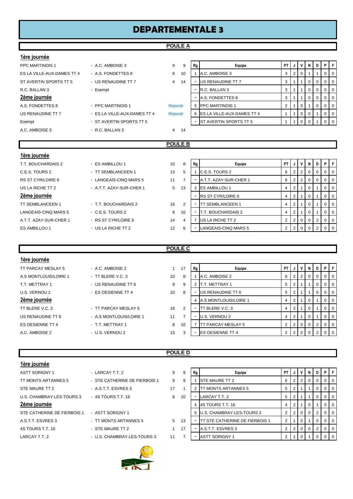# **DEPARTEMENTALE 3**

**POULE A**

| 1ère journée                |                              |                |                |                |                              |                |                         |                |             |                |             |             |
|-----------------------------|------------------------------|----------------|----------------|----------------|------------------------------|----------------|-------------------------|----------------|-------------|----------------|-------------|-------------|
| PPC MARTINOIS 1             | - A.C. AMBOISE 3             | 9              | 9              | Rg             | Equipe                       | <b>PT</b>      | J                       | $\mathsf{V}$   | N           | D              | P           | F           |
| ES LA VILLE-AUX-DAMES TT 4  | - A.S. FONDETTES 8           | 8              | 10             | 1              | A.C. AMBOISE 3               | 3              | $\overline{\mathbf{c}}$ | 0              |             | 1              | 0           | 0           |
| ST AVERTIN SPORTS TT 5      | - US RENAUDINE TT 7          | 4              | 14             |                | US RENAUDINE TT 7            | 3              |                         | 1              | 0           | 0              | 0           | $\mathbf 0$ |
| R.C. BALLAN 3               | - Exempt                     |                |                |                | R.C. BALLAN 3                | 3              |                         | 1              | $\mathbf 0$ | $\mathbf 0$    | $\pmb{0}$   | $\mathbf 0$ |
| 2ème journée                |                              |                |                |                | A.S. FONDETTES 8             | 3              |                         | 1              | 0           | 0              | 0           | 0           |
| A.S. FONDETTES 8            | - PPC MARTINOIS 1            | Reporté        |                | 5              | <b>PPC MARTINOIS 1</b>       | $\overline{2}$ |                         | $\mathbf 0$    | -1          | 0              | 0           | $\mathbf 0$ |
| US RENAUDINE TT 7           | - ES LA VILLE-AUX-DAMES TT 4 | Reporté        |                |                | 6 ES LA VILLE-AUX-DAMES TT 4 | $\mathbf{1}$   |                         | $\mathbf 0$    | $\mathbf 0$ | 1              | $\mathbf 0$ | 0           |
| Exempt                      | - ST AVERTIN SPORTS TT 5     |                |                | $\blacksquare$ | ST AVERTIN SPORTS TT 5       | $\mathbf{1}$   |                         | $\mathbf 0$    | $\mathbf 0$ |                | $\mathbf 0$ | $\mathbf 0$ |
| A.C. AMBOISE 3              | - R.C. BALLAN 3              | $\overline{4}$ | 14             |                |                              |                |                         |                |             |                |             |             |
|                             |                              |                |                |                |                              |                |                         |                |             |                |             |             |
|                             |                              |                | <b>POULE B</b> |                |                              |                |                         |                |             |                |             |             |
| 1ère journée                |                              |                |                |                |                              |                |                         |                |             |                |             |             |
| T.T. BOUCHARDAIS 2          | - ES AMBILLOU 1              | 10             | 8              | Rg             | Equipe                       | PT             | J                       | $\mathsf{v}$   | N           | D              | P           | F           |
| C.E.S. TOURS 2              | - TT SEMBLANCEEN 1           | 13             | 5              | 1              | C.E.S. TOURS 2               | 6              | $\overline{2}$          | $\overline{2}$ | 0           | 0              | $\mathbf 0$ | 0           |
| RS ST CYR/LOIRE 6           | - LANGEAIS-CINQ MARS 5       | 11             | $\overline{7}$ |                | A.T.T. AZAY-SUR-CHER 1       | 6              | $\overline{2}$          | $\overline{2}$ | $\mathbf 0$ | $\mathbf 0$    | $\mathbf 0$ | 0           |
| US LA RICHE TT 2            | - A.T.T. AZAY-SUR-CHER 1     | 5              | 13             |                | 3 <b>ES AMBILLOU 1</b>       | 4              | $\overline{2}$          | -1             | $\mathbf 0$ |                | 0           | 0           |
| 2ème journée                |                              |                |                |                | RS ST CYR/LOIRE 6            | 4              | $\overline{2}$          |                | $\mathbf 0$ |                | $\mathbf 0$ | 0           |
| <b>TT SEMBLANCEEN 1</b>     | - T.T. BOUCHARDAIS 2         | 16             | $\overline{2}$ |                | <b>TT SEMBLANCEEN 1</b>      | 4              | $\overline{2}$          | -1             | $\mathbf 0$ |                | $\mathbf 0$ | 0           |
| <b>LANGEAIS-CINQ MARS 5</b> | - C.E.S. TOURS 2             | 8              | 10             |                | T.T. BOUCHARDAIS 2           | 4              | $\overline{2}$          | 1              | $\mathbf 0$ | 1              | $\mathbf 0$ | $\mathbf 0$ |
| A.T.T. AZAY-SUR-CHER 1      | - RS ST CYR/LOIRE 6          | 14             | 4              | $\overline{7}$ | US LA RICHE TT 2             | $\overline{2}$ | $\overline{2}$          | $\mathbf 0$    | $\mathbf 0$ | $\overline{2}$ | 0           | $\mathbf 0$ |
| <b>ES AMBILLOU 1</b>        | - US LA RICHE TT 2           | 12             | 6              |                | LANGEAIS-CINQ MARS 5         | $\overline{2}$ | $\overline{2}$          | $\mathbf 0$    | $\mathbf 0$ | $\overline{2}$ | $\mathbf 0$ | $\Omega$    |
|                             |                              |                |                |                |                              |                |                         |                |             |                |             |             |
|                             |                              |                | <b>POULE C</b> |                |                              |                |                         |                |             |                |             |             |
|                             |                              |                |                |                |                              |                |                         |                |             |                |             |             |

#### **1ère journée**

Г

2ème journée

# TT PARCAY MESLAY 5 - A.C. AMBOISE 2 1 A.S MONTLOUIS/LOIRE 1 - TT BLERE V.C. 3 10 T.T. METTRAY 1 - US RENAUDINE TT 6 9 U.S. VERNOU 2 - ES OESIENNE TT 4 10 TT BLERE V.C. 3 - TT PARCAY MESLAY 5 16 US RENAUDINE TT 6 - A.S MONTLOUIS/LOIRE 1 11

ES OESIENNE TT 4 <sup>-</sup> T.T. METTRAY 1 2 3 A.C. AMBOISE 2 - U.S. VERNOU 2 15

**POULE D**

| 17             | Rg | Equipe                | PT             | J              | v        | N | D | Ρ |   |
|----------------|----|-----------------------|----------------|----------------|----------|---|---|---|---|
| 8              |    | A.C. AMBOISE 2        | 6              | 2              | 2        | 0 | 0 | 0 |   |
| 9              | 2  | T.T. METTRAY 1        | 5              | $\overline{2}$ | 1        | 1 | 0 | 0 |   |
| 8              |    | US RENAUDINE TT 6     | 5              | 2              | 1        | 1 | 0 | 0 | ი |
|                | 4  | A.S MONTLOUIS/LOIRE 1 | 4              | 2              | 1        | 0 | 1 | O | O |
| 2              |    | TT BLERE V.C. 3       | 4              | $\overline{2}$ | 1        | 0 | 1 | 0 | 0 |
| $\overline{7}$ |    | U.S. VERNOU 2         | 4              | $\overline{2}$ |          | 0 |   | O |   |
| 10             | 7  | TT PARCAY MESLAY 5    | $\overline{2}$ | $\overline{2}$ | $\Omega$ | 0 | 2 | 0 | 0 |
| ર              |    | ES OFSIENNE TT 4      | 2              | 2              | $\Omega$ | n | っ | ∩ | ∩ |

# **1ère journée**

| STT SORIGNY 1                                     | - LARCAY T.T. 2               |
|---------------------------------------------------|-------------------------------|
| [ MONTS ARTANNES 5                                | - STE CATHERINE DE FIERBOIS 1 |
| TE MAURE TT 2                                     | - A.S.T.T. ESVRES 3           |
| S. CHAMBRAY-LES-TOURS 3 4S TOURS T.T. 16          |                               |
| ème journée                                       |                               |
| TE CATHERINE DE FIERBOIS 1       - ASTT SORIGNY 1 |                               |
| S.T.T. ESVRES 3                                   | - TT MONTS ARTANNES 5         |
| S TOURS T.T. 16                                   | - STE MAURE TT 2              |
| ARCAY T.T. 2                                      | - U.S. CHAMBRAY-LES-TOURS 3   |
|                                                   |                               |

| <b>ICIC INAIIICE</b>        |                               |    |    |    |                                        |      |                |          |          |                |                |
|-----------------------------|-------------------------------|----|----|----|----------------------------------------|------|----------------|----------|----------|----------------|----------------|
| ASTT SORIGNY 1              | - LARCAY T.T. 2               | 9  | 9  | Rg | Equipe                                 | PT I | J              | N.       | D I      | PF             |                |
| TT MONTS ARTANNES 5         | - STE CATHERINE DE FIERBOIS 1 | 9  | 9  |    | <b>STE MAURE TT 2</b>                  | 6 I  |                | $\Omega$ |          | 0 <sub>0</sub> |                |
| STE MAURE TT 2              | - A S.T.T. ESVRES 3           | 17 |    |    | 2 <b>ITT MONTS ARTANNES 5</b>          | 5    |                |          |          | 0 <sub>0</sub> |                |
| U.S. CHAMBRAY-LES-TOURS 3   | - 4S TOURS T.T. 16            | 8  | 10 |    | LARCAY T.T. 2                          | 5    |                |          |          | $0$   $0$      |                |
| 2ème journée                |                               |    |    |    | 4S TOURS T.T. 16                       |      |                | $\Omega$ |          |                | 0 <sub>0</sub> |
| STE CATHERINE DE FIERBOIS 1 | - ASTT SORIGNY 1              |    |    |    | 5 U.S. CHAMBRAY-LES-TOURS 3            |      |                | $\Omega$ |          | $0$   $0$      |                |
| A.S.T.T. ESVRES 3           | - TT MONTS ARTANNES 5         | 5  | 13 |    | <b>ITT STE CATHERINE DE FIERBOIS 1</b> |      |                |          | $\Omega$ | $01$ 0         |                |
| 4S TOURS T.T. 16            | - STE MAURE TT 2              |    | 17 |    | A.S.T.T. ESVRES 3                      |      | 2 <sub>1</sub> | $\Omega$ |          | $01$ 0         |                |
| LARCAY T.T. 2               | - U.S. CHAMBRAY-LES-TOURS 3   | 11 |    |    | <b>ASTT SORIGNY 1</b>                  |      |                |          |          | $0$   $0$      |                |
|                             |                               |    |    |    |                                        |      |                |          |          |                |                |

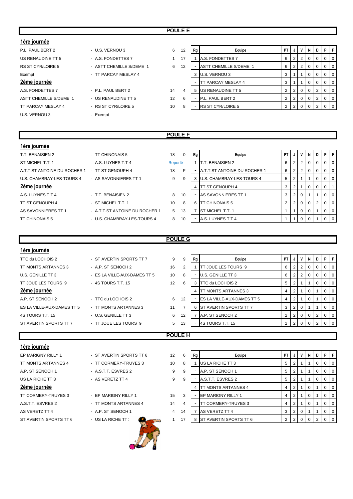# **POULE E**

| 1ère journée                  |                          |    |                |    |                          |                |                |                |                |   |                |          |
|-------------------------------|--------------------------|----|----------------|----|--------------------------|----------------|----------------|----------------|----------------|---|----------------|----------|
| P.L. PAUL BERT 2              | - U.S. VERNOU 3          | 6  | 12             | Rg | Equipe                   | PT I           |                | JIVI           | N              | D | P.             | - F      |
| US RENAUDINE TT 5             | - A.S. FONDETTES 7       |    | 17             |    | A.S. FONDETTES 7         | 6              | $\overline{2}$ | 2 <sup>1</sup> | 0              | 0 | $\Omega$       | l 0      |
| RS ST CYR/LOIRE 5             | - ASTT CHEMILLE S/DEME 1 | 6  | 12             |    | ASTT CHEMILLE S/DEME 1   | 6              | $\overline{2}$ | 2 <sup>1</sup> | 0              | 0 | 0              | $\Omega$ |
| Exempt                        | - TT PARCAY MESLAY 4     |    |                | З  | U.S. VERNOU 3            | 3              |                |                | 0              | 0 | $\overline{0}$ | $\Omega$ |
| 2ème journée                  |                          |    |                |    | TT PARCAY MESLAY 4       | 3              |                |                | 0              | 0 | $\mathbf{0}$   | $\Omega$ |
| A.S. FONDETTES 7              | - P.L. PAUL BERT 2       | 14 | $\overline{4}$ |    | US RENAUDINE TT 5        | 2              | $\overline{2}$ | $\mathbf{0}$   | 0              | 2 |                | $\Omega$ |
| <b>ASTT CHEMILLE S/DEME 1</b> | - US RENAUDINE TT 5      | 12 | 6              |    | P.L. PAUL BERT 2         | $\overline{2}$ | 2 <sup>1</sup> | $\overline{0}$ | $\overline{0}$ | 2 |                | $\Omega$ |
| TT PARCAY MESLAY 4            | - RS ST CYR/LOIRE 5      | 10 | 8              |    | <b>RS ST CYR/LOIRE 5</b> | 2              | 2              |                |                |   |                | $\Omega$ |
| U.S. VERNOU 3                 | - Exempt                 |    |                |    |                          |                |                |                |                |   |                |          |
|                               |                          |    |                |    |                          |                |                |                |                |   |                |          |

# **POULE F**

| 1ère journée                 |                                |                |    |    |                              |    |                |              |                |                |     |
|------------------------------|--------------------------------|----------------|----|----|------------------------------|----|----------------|--------------|----------------|----------------|-----|
| T.T. BENAISIEN 2             | - TT CHINONAIS 5               | 18             |    | Rg | Equipe                       | PT | V              | N            | D I            | PIF            |     |
| ST MICHEL T.T. 1             | - A.S. LUYNES T.T 4            | Reporté        |    |    | T.T. BENAISIEN 2             | 6  | 2              | $\Omega$     | $\overline{0}$ | $\Omega$       | I 0 |
| A.T.T.ST ANTOINE DU ROCHER 1 | - TT ST GENOUPH 4              | 18             | E  |    | A.T.T.ST ANTOINE DU ROCHER 1 | 6  | $\overline{2}$ | $\mathbf{0}$ | $\overline{0}$ | $\overline{0}$ | I 0 |
| U.S. CHAMBRAY-LES-TOURS 4    | - AS SAVONNIERES TT 1          | 9              | 9  | 3  | U.S. CHAMBRAY-LES-TOURS 4    | 5  |                |              |                |                | l 0 |
| 2ème journée                 |                                |                |    | 4  | <b>ITT ST GENOUPH 4</b>      | 3  |                |              | $\overline{0}$ | $\Omega$       |     |
| A.S. LUYNES T.T 4            | - T.T. BENAISIEN 2             | 8              | 10 |    | AS SAVONNIERES TT 1          | 3  | $\mathbf 0$    |              |                | $\mathbf 0$    | l 0 |
| TT ST GENOUPH 4              | - ST MICHEL T.T. 1             | 10             | 8  | 6  | <b>ITT CHINONAIS 5</b>       | 2  | $\overline{0}$ | $\Omega$     | <sup>2</sup>   | $\mathbf 0$    | l 0 |
| AS SAVONNIERES TT 1          | - A T T ST ANTOINE DU ROCHER 1 | 5 <sup>5</sup> | 13 |    | <b>IST MICHEL T.T. 1</b>     |    | $\overline{0}$ |              |                | $\mathbf 0$    | l 0 |
| <b>TT CHINONAIS 5</b>        | - U.S. CHAMBRAY-LES-TOURS 4    | 8              | 10 | ٠  | A.S. LUYNES T.T 4            |    |                |              |                |                |     |

# **POULE G**

| 1ère journée               |                              |    |                   |    |                                |      |   |                |          |                      |           |                |
|----------------------------|------------------------------|----|-------------------|----|--------------------------------|------|---|----------------|----------|----------------------|-----------|----------------|
| TTC du LOCHOIS 2           | - ST AVERTIN SPORTS TT 7     | 9  | 9                 | Rg | Equipe                         | PT I | J | V              | N        | D                    |           | PF             |
| TT MONTS ARTANNES 3        | - A.P. ST SENOCH 2           | 16 | 2                 |    | <b>ITT JOUE LES TOURS 9</b>    | 6    | 2 | 2              | 0        |                      |           | $0$   0        |
| U.S. GENILLE TT 3          | - ES LA VILLE-AUX-DAMES TT 5 | 10 | 8                 |    | U.S. GENILLE TT 3              | 6    | 2 | 2              | 0        | 0                    | $0$   $0$ |                |
| TT JOUE LES TOURS 9        | - 4S TOURS T.T. 15           | 12 | 6                 | 3  | TTC du LOCHOIS 2               | 5    | 2 |                |          | $\mathbf{0}$         | $0$   0   |                |
| 2ème journée               |                              |    |                   | 4  | <b>ITT MONTS ARTANNES 3</b>    | 4    | 2 |                | 0        |                      |           | 0 <sub>0</sub> |
| A.P. ST SENOCH 2           | - TTC du LOCHOIS 2           | 6  | $12 \overline{ }$ |    | ES LA VILLE-AUX-DAMES TT 5     | 4    | 2 |                | $\Omega$ |                      |           | 0 <sub>0</sub> |
| ES LA VILLE-AUX-DAMES TT 5 | - TT MONTS ARTANNES 3        | 11 |                   | 6  | <b>IST AVERTIN SPORTS TT 7</b> | 3    | 2 | $\overline{0}$ |          |                      |           | $0$   $0$      |
| 4S TOURS T.T. 15           | - U.S. GENILLE TT 3          | 6  | 12                |    | A.P. ST SENOCH 2               | 2    | 2 | 0              | 0        | $\mathbf{2}^{\circ}$ |           | $0$   0        |
| ST AVERTIN SPORTS TT 7     | - TT JOUE LES TOURS 9        | 5  | 13                |    | 4S TOURS T.T. 15               |      | 2 |                |          |                      |           | $0$   $0$      |
|                            |                              |    | <b>POULE H</b>    |    |                                |      |   |                |          |                      |           |                |

#### **1ère journée**

# EP MARIGNY RILLY 1 - ST AVERTIN SPORTS TT 6 12 TT MONTS ARTANNES 4 - TT CORMERY-TRUYES 3 10



| .                      |                          |                   |    |    |                            |           |  |          |   |                  |
|------------------------|--------------------------|-------------------|----|----|----------------------------|-----------|--|----------|---|------------------|
| EP MARIGNY RILLY 1     | - ST AVERTIN SPORTS TT 6 | $12 \overline{ }$ | 6  | Rg | Equipe                     | <b>PT</b> |  | N        | D | PIFI             |
| TT MONTS ARTANNES 4    | - TT CORMERY-TRUYES 3    | 10                | 8  |    | US LA RICHE TT 3           | 5         |  |          |   | 0101             |
| A.P. ST SENOCH 1       | - A S.T.T. ESVRES 2      | 9                 | 9  |    | A.P. ST SENOCH 1           | 5         |  |          |   | 0 1 0            |
| US LA RICHE TT 3       | - AS VERETZ TT 4         | 9                 | 9  |    | A.S.T.T. ESVRES 2          | 5         |  |          |   | $0$   $0$        |
| 2ème journée           |                          |                   |    |    | TT MONTS ARTANNES 4        |           |  |          |   | $0$   $0$        |
| TT CORMERY-TRUYES 3    | - EP MARIGNY RILLY 1     | 15                | 3  |    | <b>IEP MARIGNY RILLY 1</b> |           |  |          |   | $\overline{1}$ 0 |
| A.S.T.T. ESVRES 2      | - TT MONTS ARTANNES 4    | 14                | 4  |    | <b>IT CORMERY-TRUYES 3</b> |           |  |          |   | $\overline{101}$ |
| <b>AS VERETZ TT 4</b>  | - A.P. ST SENOCH 1       | 4                 | 14 |    | AS VERETZ TT 4             |           |  |          |   | $\overline{1}$ 0 |
| ST AVERTIN SPORTS TT 6 | - US LA RICHE TT :       |                   | 17 |    | 8 IST AVERTIN SPORTS TT 6  |           |  | $\Omega$ |   | $0$   $0$        |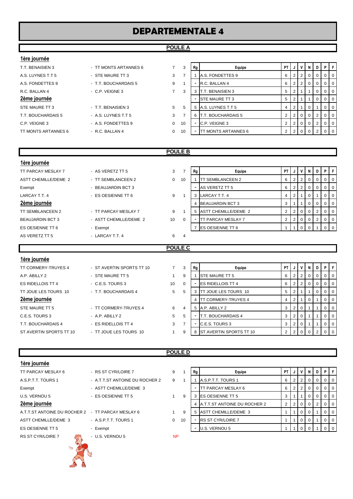# **DEPARTEMENTALE 4**

# **POULE A**

# **1ère journée**

A.S. LUYNES T.T 5 **FILMAURE TT 3** 3 A.S. FONDETTES 9 - T.T. BOUCHARDAIS 5 9 R.C. BALLAN 4 **C.P. VEIGNE 3** 3 3 2 7 **2ème journée** STE MAURE TT 3 **FALL SEE 5** F.T. BENAISIEN 3 T.T. BOUCHARDAIS 5 - A.S. LUYNES T.T 5 3 C.P. VEIGNE 3 **A.S. FONDETTES 9** 0

# T.T. BENAISIEN 3 **FILM BENAISIEN 3** - TT MONTS ARTANNES 6 TT MONTS ARTANNES 6 - R.C. BALLAN 4 0

| 3  | Rg | Equipe                | PT             | J              | ٧ | N        | D        | P        |   |
|----|----|-----------------------|----------------|----------------|---|----------|----------|----------|---|
| 7  | 1  | A.S. FONDETTES 9      | 6              | $\overline{2}$ | 2 | $\Omega$ | $\Omega$ | 0        | ი |
| 1  |    | R.C. BALLAN 4         | 6              | $\overline{2}$ | 2 | 0        | $\Omega$ | $\Omega$ | 0 |
| 3  | 3  | T.T. BENAISIEN 3      | 5              | $\overline{2}$ | 1 | 1        | $\Omega$ | $\Omega$ | ი |
|    |    | <b>STE MAURE TT 3</b> | 5              | 2              | 1 | 1        | $\Omega$ | $\Omega$ | 0 |
| 5  | 5  | A.S. LUYNES T.T 5     | 4              | $\overline{2}$ | 1 | 0        | 1        | $\Omega$ | 0 |
| 7  | 6  | T.T. BOUCHARDAIS 5    | $\overline{2}$ | $\overline{2}$ | 0 | 0        | 2        | $\Omega$ | 0 |
| 10 | -  | C.P. VEIGNE 3         | 2              | $\overline{2}$ | 0 | 0        | 2        | $\Omega$ | 0 |
| 10 |    | TT MONTS ARTANNES 6   | 2              | 2              | 0 | $\Omega$ | 2        | 0        | ი |

# **POULE B**

| 1ère journée            |                        |              |          |    |                             |                |                |                |                |                |    |         |
|-------------------------|------------------------|--------------|----------|----|-----------------------------|----------------|----------------|----------------|----------------|----------------|----|---------|
| TT PARCAY MESLAY 7      | - AS VERETZ TT 5       | 3            | 7        | Rg | Equipe                      | <b>PT</b>      | J              | v              | <b>N</b>       | D              | P. | F       |
| ASTT CHEMILLE/DEME 2    | - TT SEMBLANCEEN 2     | $\mathbf{0}$ | 10       |    | <b>SEMBLANCEEN 2</b>        | 6              | $\overline{2}$ | $\overline{2}$ | 0              |                |    | $01$ 0  |
| Exempt                  | - BEAUJARDIN BCT 3     |              |          |    | AS VERETZ TT 5              | 6              | 2 <sub>1</sub> | $\overline{2}$ | 0              | 0              |    | $0$   0 |
| LARCAY T.T. 4           | - ES OESIENNE TT 6     | 9            |          | 3  | LARCAY T.T. 4               | 4              | $\overline{2}$ |                | 0              |                |    | $01$ 0  |
| 2ème journée            |                        |              |          | 4  | <b>BEAUJARDIN BCT 3</b>     | 3              |                |                | $\mathbf 0$    | 0              |    | $01$ 0  |
| TT SEMBLANCEEN 2        | - TT PARCAY MESLAY 7   | 9            |          | 5  | <b>ASTT CHEMILLE/DEME 2</b> | $\overline{2}$ | 2 <sup>1</sup> | $\overline{0}$ | $\overline{0}$ | 2              |    | $01$ 0  |
| <b>BEAUJARDIN BCT 3</b> | - ASTT CHEMILLE/DEME 2 | 10           | $\Omega$ |    | TT PARCAY MESLAY 7          | $\overline{2}$ | 2 <sup>1</sup> | $\overline{0}$ | $\overline{0}$ | $\overline{2}$ |    | $0$   0 |
| ES OESIENNE TT 6        | - Exempt               |              |          |    | <b>ES OESIENNE TT 6</b>     |                |                | $\mathbf{0}$   |                |                |    | $01$ 0  |
| AS VERETZ TT 5          | - LARCAY T.T. 4        | 6            | 4        |    |                             |                |                |                |                |                |    |         |
|                         |                        |              |          |    |                             |                |                |                |                |                |    |         |
|                         |                        | POULE C      |          |    |                             |                |                |                |                |                |    |         |

# **1ère journée**

| TT CORMERY-TRUYES 4     | - ST AVERTIN SPORTS TT 10 |    | 3 | Rg | Equipe                         | <b>PT</b> | 1 J 1          | V              |                | NDI | PIF |                  |
|-------------------------|---------------------------|----|---|----|--------------------------------|-----------|----------------|----------------|----------------|-----|-----|------------------|
| A.P. ABILLY 2           | - STE MAURE TT 5          |    | 9 |    | <b>STE MAURE TT 5</b>          | 6         | $\overline{2}$ | 2 <sup>1</sup> | $\overline{0}$ |     |     | $\overline{1}$ 0 |
| ES RIDELLOIS TT 4       | - C.E.S. TOURS 3          | 10 | 0 |    | <b>IES RIDELLOIS TT 4</b>      | 6         | 2              | 2 <sup>1</sup> |                |     |     | ΙO               |
| TT JOUE LES TOURS 10    | - T.T. BOUCHARDAIS 4      | 5  | 5 |    | <b>ITT JOUE LES TOURS 10</b>   | 5         | 2              |                |                |     |     | ΙO               |
| 2ème journée            |                           |    |   |    | <b>ITT CORMERY-TRUYES 4</b>    | 4         | 2              |                |                |     |     | l O              |
| STE MAURE TT 5          | - TT CORMERY-TRUYES 4     | 6  | 4 |    | 5 A.P. ABILLY 2                | 3         | $^{\circ}$ 2 . | $\mathbf{0}$   |                |     |     | l O              |
| C.E.S. TOURS 3          | $-$ A.P. ABILLY 2         | 5  | 5 |    | <b>IT.T. BOUCHARDAIS 4</b>     | 3         | 2              | $\mathbf{0}$   |                |     |     | - 0              |
| T.T. BOUCHARDAIS 4      | - ES RIDELLOIS TT 4       | 3  |   |    | <b>IC.E.S. TOURS 3</b>         | 3         | $\overline{2}$ | $\mathbf{0}$   |                |     |     | - 0              |
| ST AVERTIN SPORTS TT 10 | - TT JOUE LES TOURS 10    |    | 9 |    | <b>ST AVERTIN SPORTS TT 10</b> |           | 2              |                |                |     |     |                  |
|                         |                           |    |   |    |                                |           |                |                |                |     |     |                  |

# **POULE D**

| 1ère journée                                      |                                |           |    |    |                                     |                |                |                |                |                |         |                |
|---------------------------------------------------|--------------------------------|-----------|----|----|-------------------------------------|----------------|----------------|----------------|----------------|----------------|---------|----------------|
| TT PARCAY MESLAY 6                                | - RS ST CYR/LOIRE 7            | 9         |    | Rg | Equipe                              | PT I           | J              | v              | - N            | D              | P.      | $\mathsf{F}$   |
| A S P T T TOURS 1                                 | - A T T ST ANTOINE DU ROCHER 2 | 9         |    |    | A.S.P.T.T. TOURS 1                  | 6              | $\overline{2}$ |                | $\overline{0}$ | $\overline{0}$ |         | $01$ 0         |
| Exempt                                            | - ASTT CHEMILLE/DEME 3         |           |    |    | <b>TT PARCAY MESLAY 6</b>           | 6              | $\overline{2}$ | $\overline{2}$ | <b>0</b>       | $\overline{0}$ |         | $01$ 0         |
| U.S. VERNOU 5                                     | - ES OESIENNE TT 5             |           | 9  | 3  | <b>ES OESIENNE TT 5</b>             | 3              |                |                |                |                |         | $0$   0        |
| 2ème journée                                      |                                |           |    |    | <b>A.T.T.ST ANTOINE DU ROCHER 2</b> | $\overline{2}$ | 2              | 0              |                |                |         | $0$   0        |
| A.T.T.ST ANTOINE DU ROCHER 2 - TT PARCAY MESLAY 6 |                                |           | 9  | 5  | ASTT CHEMILLE/DEME 3                |                |                | $\overline{0}$ | l 0            |                | $0$   0 |                |
| ASTT CHEMILLE/DEME 3                              | - A.S.P.T.T. TOURS 1           | $\Omega$  | 10 |    | <b>RS ST CYR/LOIRE 7</b>            |                |                | 0 <sub>0</sub> |                |                | $01$ 0  |                |
| ES OESIENNE TT 5                                  | - Exempt                       |           |    |    | U.S. VERNOU 5                       |                |                |                |                |                |         | 0 <sub>0</sub> |
| <b>RS ST CYR/LOIRE 7</b><br>$\gamma$              | - U.S. VERNOU 5                | <b>NP</b> |    |    |                                     |                |                |                |                |                |         |                |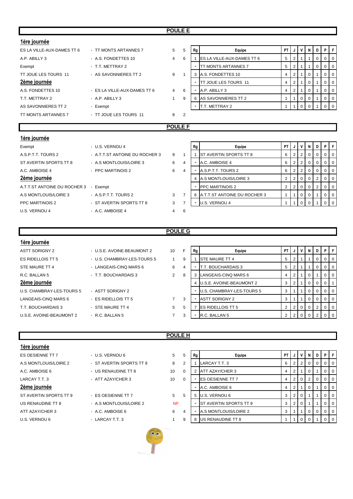| 1ère journée                          |                                |                |                |    |                               |                |                |                |          |                |                |                |
|---------------------------------------|--------------------------------|----------------|----------------|----|-------------------------------|----------------|----------------|----------------|----------|----------------|----------------|----------------|
| ES LA VILLE-AUX-DAMES TT 6            | - TT MONTS ARTANNES 7          | 5              | 5              | Rg | Equipe                        | <b>PT</b>      | $\mathbf{J}$ . | V              | N        | D              | PF             |                |
| A.P. ABILLY 3                         | - A.S. FONDETTES 10            | 4              | 6              |    | ES LA VILLE-AUX-DAMES TT 6    | 5              | 2              | 1              |          | $\Omega$       | $\overline{0}$ | l 0            |
| Exempt                                | - T.T. METTRAY 2               |                |                |    | TT MONTS ARTANNES 7           | 5              | $\overline{2}$ | $\mathbf{1}$   |          | 0              | 0 <sup>1</sup> |                |
| TT JOUE LES TOURS 11                  | - AS SAVONNIERES TT 2          | 9              |                | 3  | A.S. FONDETTES 10             | 4              | $\overline{2}$ | 1              | $\Omega$ |                | $\Omega$       | - 0            |
| <u>2ème journée</u>                   |                                |                |                |    | TT JOUE LES TOURS 11          | 4              | 2              |                | $\Omega$ |                | $\Omega$       | - 0            |
| A.S. FONDETTES 10                     | - ES LA VILLE-AUX-DAMES TT 6   | 4              | 6              |    | A.P. ABILLY 3                 | 4              | $\overline{2}$ | 1              | 0        |                | 0 <sup>1</sup> |                |
| T.T. METTRAY 2                        | - A.P. ABILLY 3                | $\mathbf{1}$   | 9              | 6  | AS SAVONNIERES TT 2           | 1              | $\mathbf{1}$   | $\overline{0}$ | $\Omega$ |                | 0 <sup>1</sup> |                |
| AS SAVONNIERES TT 2                   | - Exempt                       |                |                |    | T.T. METTRAY 2                |                | $\mathbf{1}$   | $\overline{0}$ | $\Omega$ |                | $\Omega$       | $\overline{0}$ |
| TT MONTS ARTANNES 7                   | - TT JOUE LES TOURS 11         | 8              | 2              |    |                               |                |                |                |          |                |                |                |
|                                       |                                | <b>POULE F</b> |                |    |                               |                |                |                |          |                |                |                |
|                                       |                                |                |                |    |                               |                |                |                |          |                |                |                |
| <u>1ère journée</u>                   |                                |                |                |    |                               |                |                |                |          |                |                |                |
| Exempt                                | - U.S. VERNOU 4                |                |                | Rg | Equipe                        | <b>PT</b>      | J              | V              | N        | D              | PF             |                |
| A.S.P.T.T. TOURS 2                    | - A.T.T.ST ANTOINE DU ROCHER 3 | 9              |                |    | <b>ST AVERTIN SPORTS TT 8</b> | 6              | 2              | 2 <sup>1</sup> | $\Omega$ | $\Omega$       | $\Omega$       | 0              |
| ST AVERTIN SPORTS TT 8                | - A.S MONTLOUIS/LOIRE 3        | 6              | 4              |    | A.C. AMBOISE 4                | 6              | 2              | 2 <sup>1</sup> | 0        | 0              | $\overline{0}$ | l 0            |
| A.C. AMBOISE 4                        | - PPC MARTINOIS 2              | 6              | 4              |    | A.S.P.T.T. TOURS 2            | 6              | 2              | $\overline{2}$ | 0        | 0              | 0              | - 0            |
| 2ème journée                          |                                |                |                |    | A.S MONTLOUIS/LOIRE 3         | 2              | 2              | $\overline{0}$ | $\Omega$ | 2              | $\Omega$       | - 0            |
| A.T.T.ST ANTOINE DU ROCHER 3 - Exempt |                                |                |                |    | <b>PPC MARTINOIS 2</b>        | $\overline{2}$ | 2              | $\overline{0}$ | 0        | $\overline{2}$ | $\overline{0}$ | l 0            |
| A.S MONTLOUIS/LOIRE 3                 | - A.S.P.T.T. TOURS 2           | 3              | $\overline{7}$ | 6  | A.T.T.ST ANTOINE DU ROCHER 3  | 1              | $\mathbf{1}$   | $\overline{0}$ | 0        |                | 0 <sup>1</sup> |                |
| PPC MARTINOIS 2                       | - ST AVERTIN SPORTS TT 8       | 3              | $\overline{7}$ |    | U.S. VERNOU 4                 |                |                | $\Omega$       | $\Omega$ |                | $\Omega$       | $\Omega$       |
|                                       |                                |                |                |    |                               |                |                |                |          |                |                |                |
| U.S. VERNOU 4                         | - A.C. AMBOISE 4               | 4              | 6              |    |                               |                |                |                |          |                |                |                |

**POULE E**

# **1ère journée**

- 
- 
- 
- 
- 
- 

# ASTT SORIGNY 2 - U.S.E. AVOINE-BEAUMONT 2 10 F Rg **Equipe PT J V N D P** P ES RIDELLOIS TT 5 - U.S. CHAMBRAY-LES-TOURS 5 1 9 1 STE MAURE TT 4 5 2 1 1 0 0 0 STE MAURE TT 4 - LANGEAIS-CINQ MARS 6 6 4 - T.T. BOUCHARDAIS 3 5 5 2 1 1 0 0 0 0 R.C. BALLAN 5 - T.T. BOUCHARDAIS 3 2 8 3 LANGEAIS-CINQ MARS 6 4 2 1 0 1 0 0 **2ème journée** 4 U.S.E. AVOINE-BEAUMONT 2 3 2 1 0 0 0 1 U.S. CHAMBRAY-LES-TOURS 5 - ASTT SORIGNY 2  $\vert \cdot \vert$  U.S. CHAMBRAY-LES-TOURS  $\vert$  3 1 1 0 0 0 0 0 LANGEAIS-CINQ MARS 6 - ES RIDELLOIS TT 5 7 3 - ASTT SORIGNY 2 3 3 1 1 1 0 0 0 0 0 T.T. BOUCHARDAIS 3 - STE MAURE TT 4 5 5 7 ES RIDELLOIS TT 5 2 2 0 0 2 0 0 2 U.S.E. AVOINE-BEAUMONT 2 - R.C. BALLAN 5 7 3 - R.C. BALLAN 5 2 2 0 0 2 0

# **1ère journée**

- A.S MONTLOUIS/LOIRE 2 ST AVERTIN SPORTS TT 9 8 A.C. AMBOISE 6 - US RENAUDINE TT 8 10 LARCAY T.T. 3 - ATT AZAY/CHER 3 10 ST AVERTIN SPORTS TT 9 - ES OESIENNE TT 7 5 5 US RENAUDINE TT 8 - A.S MONTLOUIS/LOIRE 2
- ATT AZAY/CHER 3 A.C. AMBOISE 6 6 6
- 

**POULE H**

- ES OESIENNE TT 7 **19 A P F**  $\overline{S}$  U.S. VERNOU 6 5
	- -
	-
	-
	-
	-
	-



| ES OESIENNE TT 7       | - U.S. VERNOU 6          | 5         | 5 | Rg | Equipe                        | <b>PT</b> | V              | N              | D | PIF |                  |
|------------------------|--------------------------|-----------|---|----|-------------------------------|-----------|----------------|----------------|---|-----|------------------|
| A.S MONTLOUIS/LOIRE 2  | - ST AVERTIN SPORTS TT 9 | 8         | 2 |    | LARCAY T.T. 3                 | 6         | 2              | 0              | O |     | $\overline{0}$   |
| A.C. AMBOISE 6         | - US RENAUDINE TT 8      | 10        | 0 |    | ATT AZAY/CHER 3               | 4         |                |                |   |     | $\overline{0}$   |
| LARCAY T.T. 3          | - ATT AZAY/CHER 3        | 10        | 0 |    | <b>IES OESIENNE TT 7</b>      | 4         | $\mathbf{0}$   | $\overline{2}$ | 0 |     | $\overline{0}$   |
| 2ème journée           |                          |           |   |    | A.C. AMBOISE 6                | 4         |                |                |   |     | $\overline{0}$   |
| ST AVERTIN SPORTS TT 9 | - ES OESIENNE TT 7       | 5         | 5 |    | 5 U.S. VERNOU 6               | 3         | 0              |                |   |     | $\overline{0}$   |
| US RENAUDINE TT 8      | - A.S MONTLOUIS/LOIRE 2  | <b>NP</b> |   |    | <b>ST AVERTIN SPORTS TT 9</b> | 3         | $\overline{0}$ |                |   |     | $\overline{1}$ 0 |
| ATT AZAY/CHER 3        | - A.C. AMBOISE 6         | 6         | 4 |    | A.S MONTLOUIS/LOIRE 2         | 3         |                |                |   |     | $\overline{0}$   |
| U.S. VERNOU 6          | - LARCAY T.T. 3          |           | 9 | 8  | US RENAUDINE TT 8             |           | $\Omega$       |                |   |     |                  |
|                        |                          |           |   |    |                               |           |                |                |   |     |                  |

# **POULE G**